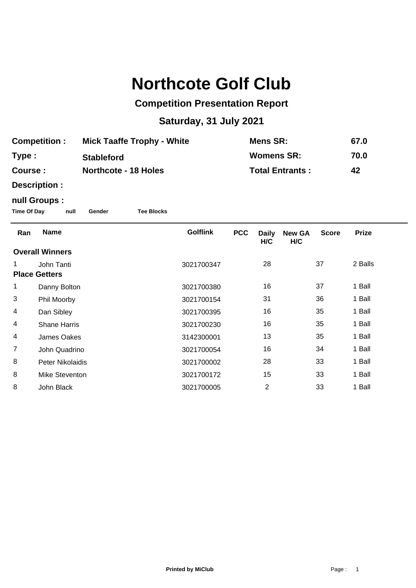## **Northcote Golf Club**

## **Competition Presentation Report**

## **Saturday, 31 July 2021**

| <b>Competition:</b> | <b>Mick Taaffe Trophy - White</b> | Mens SR:               | 67.0 |
|---------------------|-----------------------------------|------------------------|------|
| Type :              | <b>Stableford</b>                 | <b>Womens SR:</b>      | 70.0 |
| <b>Course :</b>     | <b>Northcote - 18 Holes</b>       | <b>Total Entrants:</b> | 42   |

**Description :**

## **null Groups :**

**Time Of Day null Gender Tee Blocks**

| Ran                    | <b>Name</b>         | <b>Golflink</b> | <b>PCC</b> | <b>Daily</b><br>H/C | <b>New GA</b><br>H/C | <b>Score</b> | <b>Prize</b> |
|------------------------|---------------------|-----------------|------------|---------------------|----------------------|--------------|--------------|
| <b>Overall Winners</b> |                     |                 |            |                     |                      |              |              |
|                        | John Tanti          | 3021700347      |            | 28                  |                      | 37           | 2 Balls      |
| <b>Place Getters</b>   |                     |                 |            |                     |                      |              |              |
| 1                      | Danny Bolton        | 3021700380      |            | 16                  |                      | 37           | 1 Ball       |
| 3                      | Phil Moorby         | 3021700154      |            | 31                  |                      | 36           | 1 Ball       |
| 4                      | Dan Sibley          | 3021700395      |            | 16                  |                      | 35           | 1 Ball       |
| 4                      | <b>Shane Harris</b> | 3021700230      |            | 16                  |                      | 35           | 1 Ball       |
| 4                      | James Oakes         | 3142300001      |            | 13                  |                      | 35           | 1 Ball       |
| $\overline{7}$         | John Quadrino       | 3021700054      |            | 16                  |                      | 34           | 1 Ball       |
| 8                      | Peter Nikolaidis    | 3021700002      |            | 28                  |                      | 33           | 1 Ball       |
| 8                      | Mike Steventon      | 3021700172      |            | 15                  |                      | 33           | 1 Ball       |
| 8                      | John Black          | 3021700005      |            | $\overline{2}$      |                      | 33           | 1 Ball       |
|                        |                     |                 |            |                     |                      |              |              |